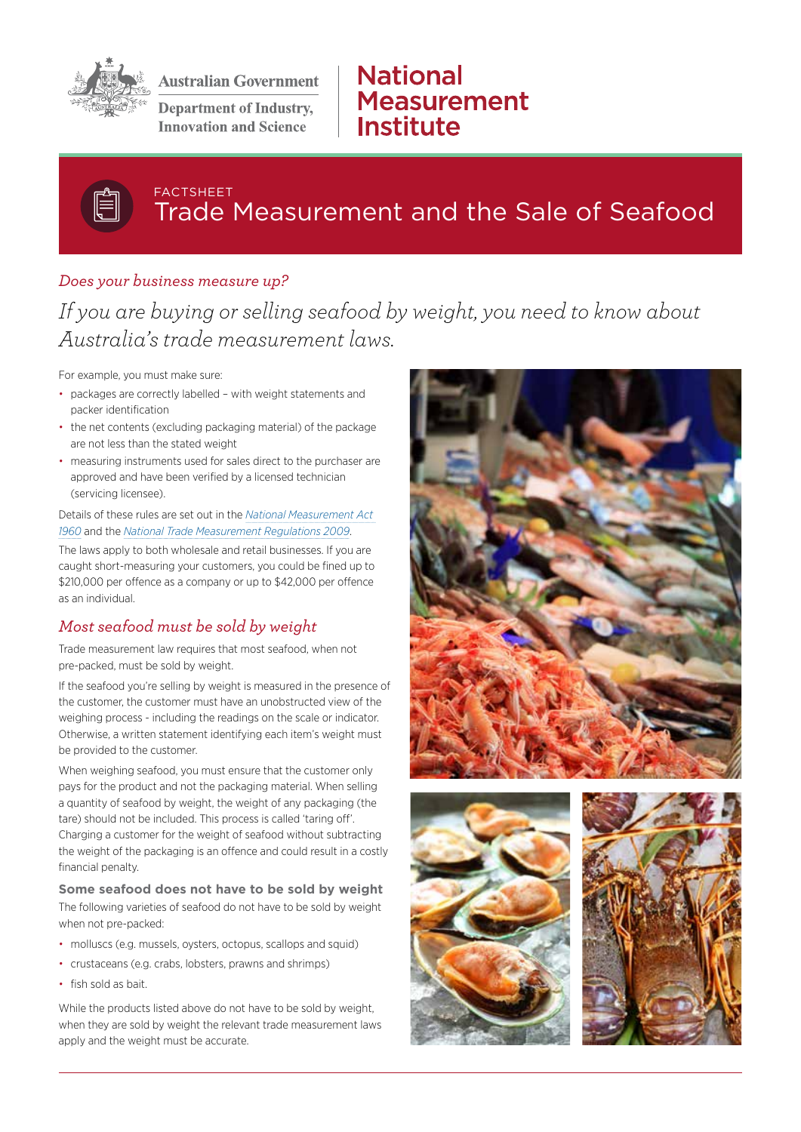

**Australian Government** 

**Department of Industry, Innovation and Science** 

# **National Measurement** Institute

## FACTSHEET Trade Measurement and the Sale of Seafood

### *Does your business measure up?*

# *If you are buying or selling seafood by weight, you need to know about Australia's trade measurement laws.*

For example, you must make sure:

- packages are correctly labelled with weight statements and packer identification
- the net contents (excluding packaging material) of the package are not less than the stated weight
- measuring instruments used for sales direct to the purchaser are approved and have been verified by a licensed technician (servicing licensee).

Details of these rules are set out in the *[National Measurement Act](https://www.legislation.gov.au/Details/C2016C00085)  [1960](https://www.legislation.gov.au/Details/C2016C00085)* and the *[National Trade Measurement Regulations 2009](https://www.legislation.gov.au/Details/F2015C00010)*.

The laws apply to both wholesale and retail businesses. If you are caught short-measuring your customers, you could be fined up to \$210,000 per offence as a company or up to \$42,000 per offence as an individual.

## *Most seafood must be sold by weight*

Trade measurement law requires that most seafood, when not pre-packed, must be sold by weight.

If the seafood you're selling by weight is measured in the presence of the customer, the customer must have an unobstructed view of the weighing process - including the readings on the scale or indicator. Otherwise, a written statement identifying each item's weight must be provided to the customer.

When weighing seafood, you must ensure that the customer only pays for the product and not the packaging material. When selling a quantity of seafood by weight, the weight of any packaging (the tare) should not be included. This process is called 'taring off'. Charging a customer for the weight of seafood without subtracting the weight of the packaging is an offence and could result in a costly financial penalty.

#### **Some seafood does not have to be sold by weight**

The following varieties of seafood do not have to be sold by weight when not pre-packed:

- molluscs (e.g. mussels, oysters, octopus, scallops and squid)
- crustaceans (e.g. crabs, lobsters, prawns and shrimps)
- fish sold as bait.

While the products listed above do not have to be sold by weight. when they are sold by weight the relevant trade measurement laws apply and the weight must be accurate.